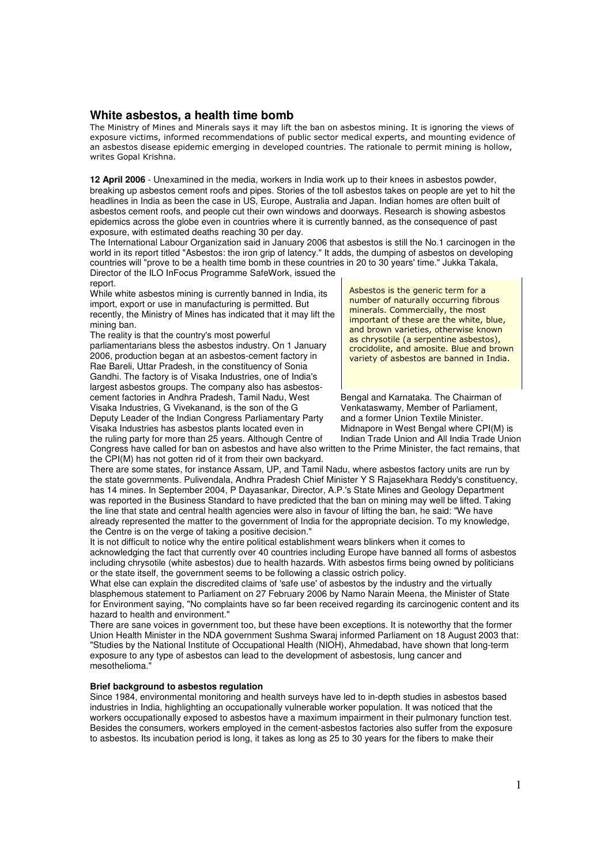# **White asbestos, a health time bomb**

The Ministry of Mines and Minerals says it may lift the ban on asbestos mining. It is ignoring the views of exposure victims, informed recommendations of public sector medical experts, and mounting evidence of an asbestos disease epidemic emerging in developed countries. The rationale to permit mining is hollow, writes Gopal Krishna.

**12 April 2006** - Unexamined in the media, workers in India work up to their knees in asbestos powder, breaking up asbestos cement roofs and pipes. Stories of the toll asbestos takes on people are yet to hit the headlines in India as been the case in US, Europe, Australia and Japan. Indian homes are often built of asbestos cement roofs, and people cut their own windows and doorways. Research is showing asbestos epidemics across the globe even in countries where it is currently banned, as the consequence of past exposure, with estimated deaths reaching 30 per day.

The International Labour Organization said in January 2006 that asbestos is still the No.1 carcinogen in the world in its report titled "Asbestos: the iron grip of latency." It adds, the dumping of asbestos on developing countries will "prove to be a health time bomb in these countries in 20 to 30 years' time." Jukka Takala, Director of the ILO InFocus Programme SafeWork, issued the

## report.

While white asbestos mining is currently banned in India, its import, export or use in manufacturing is permitted. But recently, the Ministry of Mines has indicated that it may lift the mining ban.

The reality is that the country's most powerful

parliamentarians bless the asbestos industry. On 1 January 2006, production began at an asbestos-cement factory in Rae Bareli, Uttar Pradesh, in the constituency of Sonia Gandhi. The factory is of Visaka Industries, one of India's largest asbestos groups. The company also has asbestoscement factories in Andhra Pradesh, Tamil Nadu, West Bengal and Karnataka. The Chairman of Visaka Industries, G Vivekanand, is the son of the G<br>Deputy Leader of the Indian Congress Parliamentary Party and a former Union Textile Minister.

Visaka Industries has asbestos plants located even in Midnapore in West Bengal where CPI(M) is<br>the ruling party for more than 25 years. Although Centre of Indian Trade Union and All India Trade Union the ruling party for more than 25 years. Although Centre of

Asbestos is the generic term for a number of naturally occurring fibrous minerals. Commercially, the most important of these are the white, blue, and brown varieties, otherwise known as chrysotile (a serpentine asbestos), crocidolite, and amosite. Blue and brown variety of asbestos are banned in India.

Deputy Leader of the Indian Congress Parliamentary Party and a former Union Textile Minister.<br>Visaka Industries has asbestos plants located even in Midnapore in West Bengal where CPI(M) is

Congress have called for ban on asbestos and have also written to the Prime Minister, the fact remains, that the CPI(M) has not gotten rid of it from their own backyard.

There are some states, for instance Assam, UP, and Tamil Nadu, where asbestos factory units are run by the state governments. Pulivendala, Andhra Pradesh Chief Minister Y S Rajasekhara Reddy's constituency, has 14 mines. In September 2004, P Dayasankar, Director, A.P.'s State Mines and Geology Department was reported in the Business Standard to have predicted that the ban on mining may well be lifted. Taking the line that state and central health agencies were also in favour of lifting the ban, he said: "We have already represented the matter to the government of India for the appropriate decision. To my knowledge, the Centre is on the verge of taking a positive decision."

It is not difficult to notice why the entire political establishment wears blinkers when it comes to acknowledging the fact that currently over 40 countries including Europe have banned all forms of asbestos including chrysotile (white asbestos) due to health hazards. With asbestos firms being owned by politicians or the state itself, the government seems to be following a classic ostrich policy.

What else can explain the discredited claims of 'safe use' of asbestos by the industry and the virtually blasphemous statement to Parliament on 27 February 2006 by Namo Narain Meena, the Minister of State for Environment saying, "No complaints have so far been received regarding its carcinogenic content and its hazard to health and environment."

There are sane voices in government too, but these have been exceptions. It is noteworthy that the former Union Health Minister in the NDA government Sushma Swaraj informed Parliament on 18 August 2003 that: "Studies by the National Institute of Occupational Health (NIOH), Ahmedabad, have shown that long-term exposure to any type of asbestos can lead to the development of asbestosis, lung cancer and mesothelioma."

### **Brief background to asbestos regulation**

Since 1984, environmental monitoring and health surveys have led to in-depth studies in asbestos based industries in India, highlighting an occupationally vulnerable worker population. It was noticed that the workers occupationally exposed to asbestos have a maximum impairment in their pulmonary function test. Besides the consumers, workers employed in the cement-asbestos factories also suffer from the exposure to asbestos. Its incubation period is long, it takes as long as 25 to 30 years for the fibers to make their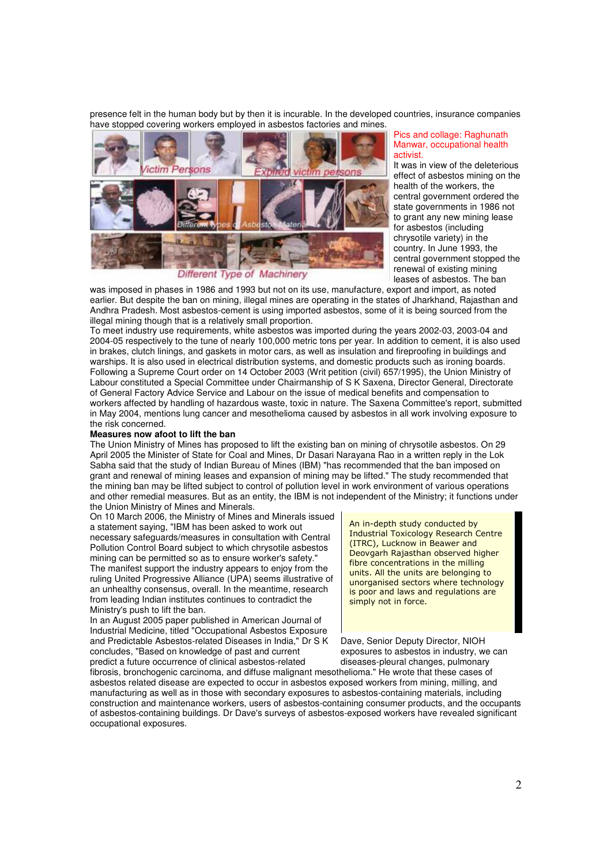presence felt in the human body but by then it is incurable. In the developed countries, insurance companies have stopped covering workers employed in asbestos factories and mines.



Different Type of Machinery

#### Pics and collage: Raghunath Manwar, occupational health activist.

It was in view of the deleterious effect of asbestos mining on the health of the workers, the central government ordered the state governments in 1986 not to grant any new mining lease for asbestos (including chrysotile variety) in the country. In June 1993, the central government stopped the renewal of existing mining leases of asbestos. The ban

was imposed in phases in 1986 and 1993 but not on its use, manufacture, export and import, as noted earlier. But despite the ban on mining, illegal mines are operating in the states of Jharkhand, Rajasthan and Andhra Pradesh. Most asbestos-cement is using imported asbestos, some of it is being sourced from the illegal mining though that is a relatively small proportion.

To meet industry use requirements, white asbestos was imported during the years 2002-03, 2003-04 and 2004-05 respectively to the tune of nearly 100,000 metric tons per year. In addition to cement, it is also used in brakes, clutch linings, and gaskets in motor cars, as well as insulation and fireproofing in buildings and warships. It is also used in electrical distribution systems, and domestic products such as ironing boards. Following a Supreme Court order on 14 October 2003 (Writ petition (civil) 657/1995), the Union Ministry of Labour constituted a Special Committee under Chairmanship of S K Saxena, Director General, Directorate of General Factory Advice Service and Labour on the issue of medical benefits and compensation to workers affected by handling of hazardous waste, toxic in nature. The Saxena Committee's report, submitted in May 2004, mentions lung cancer and mesothelioma caused by asbestos in all work involving exposure to the risk concerned.

#### **Measures now afoot to lift the ban**

The Union Ministry of Mines has proposed to lift the existing ban on mining of chrysotile asbestos. On 29 April 2005 the Minister of State for Coal and Mines, Dr Dasari Narayana Rao in a written reply in the Lok Sabha said that the study of Indian Bureau of Mines (IBM) "has recommended that the ban imposed on grant and renewal of mining leases and expansion of mining may be lifted." The study recommended that the mining ban may be lifted subject to control of pollution level in work environment of various operations and other remedial measures. But as an entity, the IBM is not independent of the Ministry; it functions under the Union Ministry of Mines and Minerals.

On 10 March 2006, the Ministry of Mines and Minerals issued a statement saying, "IBM has been asked to work out necessary safeguards/measures in consultation with Central Pollution Control Board subject to which chrysotile asbestos mining can be permitted so as to ensure worker's safety." The manifest support the industry appears to enjoy from the ruling United Progressive Alliance (UPA) seems illustrative of an unhealthy consensus, overall. In the meantime, research from leading Indian institutes continues to contradict the Ministry's push to lift the ban.

In an August 2005 paper published in American Journal of Industrial Medicine, titled "Occupational Asbestos Exposure and Predictable Asbestos-related Diseases in India," Dr S K Dave, Senior Deputy Director, NIOH concludes, "Based on knowledge of past and current exposures to asbestos in industry, we can predict a future occurrence of clinical asbestos-related diseases-pleural changes, pulmonary

An in-depth study conducted by Industrial Toxicology Research Centre (ITRC), Lucknow in Beawer and Deovgarh Rajasthan observed higher fibre concentrations in the milling units. All the units are belonging to unorganised sectors where technology is poor and laws and regulations are simply not in force.

fibrosis, bronchogenic carcinoma, and diffuse malignant mesothelioma." He wrote that these cases of asbestos related disease are expected to occur in asbestos exposed workers from mining, milling, and manufacturing as well as in those with secondary exposures to asbestos-containing materials, including construction and maintenance workers, users of asbestos-containing consumer products, and the occupants of asbestos-containing buildings. Dr Dave's surveys of asbestos-exposed workers have revealed significant occupational exposures.